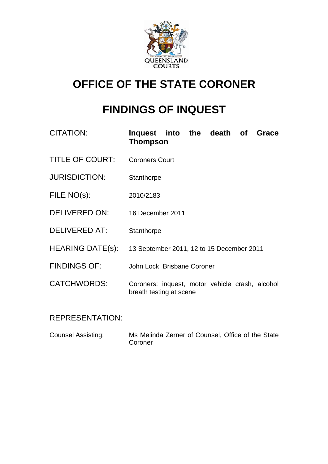

# **OFFICE OF THE STATE CORONER**

# **FINDINGS OF INQUEST**

| <b>CITATION:</b>        | Inquest into the death of<br>Grace<br><b>Thompson</b>                      |
|-------------------------|----------------------------------------------------------------------------|
| <b>TITLE OF COURT:</b>  | <b>Coroners Court</b>                                                      |
| <b>JURISDICTION:</b>    | Stanthorpe                                                                 |
| FILE NO(s):             | 2010/2183                                                                  |
| <b>DELIVERED ON:</b>    | 16 December 2011                                                           |
| DELIVERED AT:           | Stanthorpe                                                                 |
| <b>HEARING DATE(s):</b> | 13 September 2011, 12 to 15 December 2011                                  |
| <b>FINDINGS OF:</b>     | John Lock, Brisbane Coroner                                                |
| <b>CATCHWORDS:</b>      | Coroners: inquest, motor vehicle crash, alcohol<br>breath testing at scene |

## REPRESENTATION:

Counsel Assisting: Ms Melinda Zerner of Counsel, Office of the State **Coroner**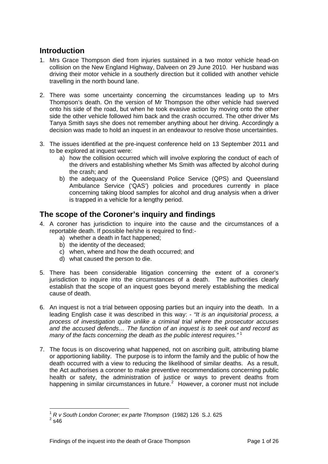### **Introduction**

- 1. Mrs Grace Thompson died from injuries sustained in a two motor vehicle head-on collision on the New England Highway, Dalveen on 29 June 2010. Her husband was driving their motor vehicle in a southerly direction but it collided with another vehicle travelling in the north bound lane.
- 2. There was some uncertainty concerning the circumstances leading up to Mrs Thompson's death. On the version of Mr Thompson the other vehicle had swerved onto his side of the road, but when he took evasive action by moving onto the other side the other vehicle followed him back and the crash occurred. The other driver Ms Tanya Smith says she does not remember anything about her driving. Accordingly a decision was made to hold an inquest in an endeavour to resolve those uncertainties.
- 3. The issues identified at the pre-inquest conference held on 13 September 2011 and to be explored at inquest were:
	- a) how the collision occurred which will involve exploring the conduct of each of the drivers and establishing whether Ms Smith was affected by alcohol during the crash; and
	- b) the adequacy of the Queensland Police Service (QPS) and Queensland Ambulance Service ('QAS') policies and procedures currently in place concerning taking blood samples for alcohol and drug analysis when a driver is trapped in a vehicle for a lengthy period.

### **The scope of the Coroner's inquiry and findings**

- 4. A coroner has jurisdiction to inquire into the cause and the circumstances of a reportable death. If possible he/she is required to find:
	- a) whether a death in fact happened;
	- b) the identity of the deceased;
	- c) when, where and how the death occurred; and
	- d) what caused the person to die.
- 5. There has been considerable litigation concerning the extent of a coroner's jurisdiction to inquire into the circumstances of a death. The authorities clearly establish that the scope of an inquest goes beyond merely establishing the medical cause of death.
- 6. An inquest is not a trial between opposing parties but an inquiry into the death. In a leading English case it was described in this way: - *"It is an inquisitorial process, a process of investigation quite unlike a criminal trial where the prosecutor accuses and the accused defends… The function of an inquest is to seek out and record as many of the facts concerning the death as the public interest requires."* [1](#page-1-0)
- 7. The focus is on discovering what happened, not on ascribing guilt, attributing blame or apportioning liability. The purpose is to inform the family and the public of how the death occurred with a view to reducing the likelihood of similar deaths. As a result, the Act authorises a coroner to make preventive recommendations concerning public health or safety, the administration of justice or ways to prevent deaths from happening in similar circumstances in future. $2$  However, a coroner must not include

<span id="page-1-0"></span>l <sup>1</sup> *R v South London Coroner; ex parte Thompson* (1982) 126 S.J. 625 <sup>2</sup>

<span id="page-1-1"></span> $2$  s46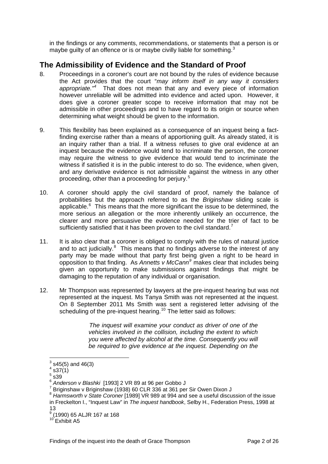in the findings or any comments, recommendations, or statements that a person is or maybe guilty of an offence or is or maybe civilly liable for something.<sup>[3](#page-2-0)</sup>

### **The Admissibility of Evidence and the Standard of Proof**

- 8. Proceedings in a coroner's court are not bound by the rules of evidence because the Act provides that the court "*may inform itself in any way it considers*  appropriate.<sup>"[4](#page-2-1)</sup> That does not mean that any and every piece of information however unreliable will be admitted into evidence and acted upon. However, it does give a coroner greater scope to receive information that may not be admissible in other proceedings and to have regard to its origin or source when determining what weight should be given to the information.
- 9. This flexibility has been explained as a consequence of an inquest being a factfinding exercise rather than a means of apportioning guilt. As already stated, it is an inquiry rather than a trial. If a witness refuses to give oral evidence at an inquest because the evidence would tend to incriminate the person, the coroner may require the witness to give evidence that would tend to incriminate the witness if satisfied it is in the public interest to do so. The evidence, when given, and any derivative evidence is not admissible against the witness in any other proceeding, other than a proceeding for perjury.[5](#page-2-2)
- 10. A coroner should apply the civil standard of proof, namely the balance of probabilities but the approach referred to as the *Briginshaw* sliding scale is applicable. $6$  This means that the more significant the issue to be determined, the more serious an allegation or the more inherently unlikely an occurrence, the clearer and more persuasive the evidence needed for the trier of fact to be sufficiently satisfied that it has been proven to the civil standard.<sup>[7](#page-2-4)</sup>
- 11. It is also clear that a coroner is obliged to comply with the rules of natural justice and to act judicially. $8$  This means that no findings adverse to the interest of any party may be made without that party first being given a right to be heard in opposition to that finding. As *Annetts v McCann[9](#page-2-6)* makes clear that includes being given an opportunity to make submissions against findings that might be damaging to the reputation of any individual or organisation.
- 12. Mr Thompson was represented by lawyers at the pre-inquest hearing but was not represented at the inquest. Ms Tanya Smith was not represented at the inquest. On 8 September 2011 Ms Smith was sent a registered letter advising of the scheduling of the pre-inquest hearing.<sup>[10](#page-2-7)</sup> The letter said as follows:

*The inquest will examine your conduct as driver of one of the vehicles involved in the collision, including the extent to which you were affected by alcohol at the time. Consequently you will be required to give evidence at the inquest. Depending on the* 

<span id="page-2-0"></span> $^3$  s45(5) and 46(3)

<span id="page-2-1"></span> $4$  s37 $(1)$ 

 $^5$  s39  $\overline{)}$ 

<span id="page-2-3"></span><span id="page-2-2"></span><sup>6</sup> *Anderson v Blashki* [1993] 2 VR 89 at 96 per Gobbo J 7

Briginshaw v Briginshaw (1938) 60 CLR 336 at 361 per Sir Owen Dixon J

<span id="page-2-5"></span><span id="page-2-4"></span><sup>8</sup> *Harmsworth v State Coroner* [1989] VR 989 at 994 and see a useful discussion of the issue in Freckelton I., "Inquest Law" in *The inquest handbook*, Selby H., Federation Press, 1998 at 13

<span id="page-2-7"></span><span id="page-2-6"></span><sup>9</sup> (1990) 65 ALJR 167 at 168

 $10$  Exhibit A5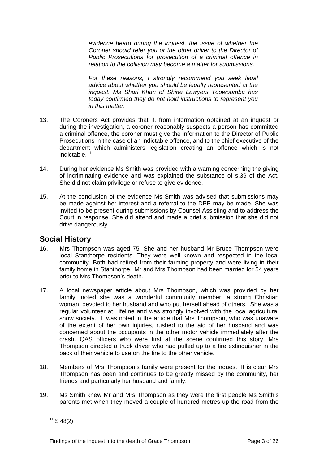*evidence heard during the inquest, the issue of whether the Coroner should refer you or the other driver to the Director of Public Prosecutions for prosecution of a criminal offence in relation to the collision may become a matter for submissions.* 

*For these reasons, I strongly recommend you seek legal advice about whether you should be legally represented at the inquest. Ms Shari Khan of Shine Lawyers Toowoomba has today confirmed they do not hold instructions to represent you in this matter.*

- 13. The Coroners Act provides that if, from information obtained at an inquest or during the investigation, a coroner reasonably suspects a person has committed a criminal offence, the coroner must give the information to the Director of Public Prosecutions in the case of an indictable offence, and to the chief executive of the department which administers legislation creating an offence which is not indictable.<sup>[11](#page-3-0)</sup>
- 14. During her evidence Ms Smith was provided with a warning concerning the giving of incriminating evidence and was explained the substance of s.39 of the Act. She did not claim privilege or refuse to give evidence.
- 15. At the conclusion of the evidence Ms Smith was advised that submissions may be made against her interest and a referral to the DPP may be made. She was invited to be present during submissions by Counsel Assisting and to address the Court in response. She did attend and made a brief submission that she did not drive dangerously.

### **Social History**

- 16. Mrs Thompson was aged 75. She and her husband Mr Bruce Thompson were local Stanthorpe residents. They were well known and respected in the local community. Both had retired from their farming property and were living in their family home in Stanthorpe. Mr and Mrs Thompson had been married for 54 years prior to Mrs Thompson's death.
- 17. A local newspaper article about Mrs Thompson, which was provided by her family, noted she was a wonderful community member, a strong Christian woman, devoted to her husband and who put herself ahead of others. She was a regular volunteer at Lifeline and was strongly involved with the local agricultural show society. It was noted in the article that Mrs Thompson, who was unaware of the extent of her own injuries, rushed to the aid of her husband and was concerned about the occupants in the other motor vehicle immediately after the crash. QAS officers who were first at the scene confirmed this story. Mrs Thompson directed a truck driver who had pulled up to a fire extinguisher in the back of their vehicle to use on the fire to the other vehicle.
- 18. Members of Mrs Thompson's family were present for the inquest. It is clear Mrs Thompson has been and continues to be greatly missed by the community, her friends and particularly her husband and family.
- <span id="page-3-0"></span>19. Ms Smith knew Mr and Mrs Thompson as they were the first people Ms Smith's parents met when they moved a couple of hundred metres up the road from the

l  $11$  S 48(2)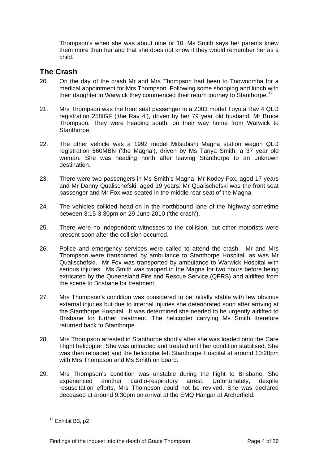Thompson's when she was about nine or 10. Ms Smith says her parents knew them more than her and that she does not know if they would remember her as a child.

### **The Crash**

- 20. On the day of the crash Mr and Mrs Thompson had been to Toowoomba for a medical appointment for Mrs Thompson. Following some shopping and lunch with their daughter in Warwick they commenced their return journey to Stanthorpe.<sup>[12](#page-4-0)</sup>
- 21. Mrs Thompson was the front seat passenger in a 2003 model Toyota Rav 4 QLD registration 258IGF ('the Rav 4'), driven by her 79 year old husband, Mr Bruce Thompson. They were heading south, on their way home from Warwick to Stanthorpe.
- 22. The other vehicle was a 1992 model Mitsubishi Magna station wagon QLD registration 560MBN ('the Magna'), driven by Ms Tanya Smith, a 37 year old woman. She was heading north after leaving Stanthorpe to an unknown destination.
- 23. There were two passengers in Ms Smith's Magna, Mr Kodey Fox, aged 17 years and Mr Danny Qualischefski, aged 19 years. Mr Qualischefski was the front seat passenger and Mr Fox was seated in the middle rear seat of the Magna.
- 24. The vehicles collided head-on in the northbound lane of the highway sometime between 3:15-3:30pm on 29 June 2010 ('the crash').
- 25. There were no independent witnesses to the collision, but other motorists were present soon after the collision occurred.
- 26. Police and emergency services were called to attend the crash. Mr and Mrs Thompson were transported by ambulance to Stanthorpe Hospital, as was Mr Qualischefski. Mr Fox was transported by ambulance to Warwick Hospital with serious injuries. Ms Smith was trapped in the Magna for two hours before being extricated by the Queensland Fire and Rescue Service (QFRS) and airlifted from the scene to Brisbane for treatment.
- 27. Mrs Thompson's condition was considered to be initially stable with few obvious external injuries but due to internal injuries she deteriorated soon after arriving at the Stanthorpe Hospital. It was determined she needed to be urgently airlifted to Brisbane for further treatment. The helicopter carrying Ms Smith therefore returned back to Stanthorpe.
- 28. Mrs Thompson arrested in Stanthorpe shortly after she was loaded onto the Care Flight helicopter. She was unloaded and treated until her condition stabilised. She was then reloaded and the helicopter left Stanthorpe Hospital at around 10:20pm with Mrs Thompson and Ms Smith on board.
- 29. Mrs Thompson's condition was unstable during the flight to Brisbane. She experienced another cardio-respiratory arrest. Unfortunately, despite resuscitation efforts, Mrs Thompson could not be revived. She was declared deceased at around 9:30pm on arrival at the EMQ Hangar at Archerfield.

<span id="page-4-0"></span> $12$  Exhibit B3, p2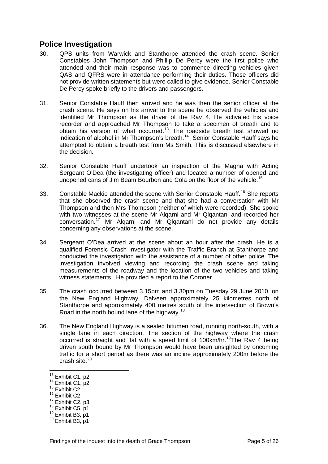### **Police Investigation**

- 30. QPS units from Warwick and Stanthorpe attended the crash scene. Senior Constables John Thompson and Phillip De Percy were the first police who attended and their main response was to commence directing vehicles given QAS and QFRS were in attendance performing their duties. Those officers did not provide written statements but were called to give evidence. Senior Constable De Percy spoke briefly to the drivers and passengers.
- 31. Senior Constable Hauff then arrived and he was then the senior officer at the crash scene. He says on his arrival to the scene he observed the vehicles and identified Mr Thompson as the driver of the Rav 4. He activated his voice recorder and approached Mr Thompson to take a specimen of breath and to obtain his version of what occurred.[13](#page-5-0) The roadside breath test showed no indication of alcohol in Mr Thompson's breath.[14](#page-5-1) Senior Constable Hauff says he attempted to obtain a breath test from Ms Smith. This is discussed elsewhere in the decision.
- 32. Senior Constable Hauff undertook an inspection of the Magna with Acting Sergeant O'Dea (the investigating officer) and located a number of opened and unopened cans of Jim Beam Bourbon and Cola on the floor of the vehicle.<sup>[15](#page-5-2)</sup>
- 33. Constable Mackie attended the scene with Senior Constable Hauff.<sup>[16](#page-5-3)</sup> She reports that she observed the crash scene and that she had a conversation with Mr Thompson and then Mrs Thompson (neither of which were recorded). She spoke with two witnesses at the scene Mr Algarni and Mr Qlgantani and recorded her conversation.[17](#page-5-4) Mr Alqarni and Mr Qlqantani do not provide any details concerning any observations at the scene.
- 34. Sergeant O'Dea arrived at the scene about an hour after the crash. He is a qualified Forensic Crash Investigator with the Traffic Branch at Stanthorpe and conducted the investigation with the assistance of a number of other police. The investigation involved viewing and recording the crash scene and taking measurements of the roadway and the location of the two vehicles and taking witness statements. He provided a report to the Coroner.
- 35. The crash occurred between 3.15pm and 3.30pm on Tuesday 29 June 2010, on the New England Highway, Dalveen approximately 25 kilometres north of Stanthorpe and approximately 400 metres south of the intersection of Brown's Road in the north bound lane of the highway.<sup>[18](#page-5-5)</sup>
- 36. The New England Highway is a sealed bitumen road, running north-south, with a single lane in each direction. The section of the highway where the crash occurred is straight and flat with a speed limit of 100km/hr.<sup>[19](#page-5-6)</sup>The Ray 4 being driven south bound by Mr Thompson would have been unsighted by oncoming traffic for a short period as there was an incline approximately 200m before the crash site.<sup>[20](#page-5-7)</sup>

- <span id="page-5-5"></span><span id="page-5-4"></span><sup>18</sup> Exhibit C5, p1<br><sup>19</sup> Exhibit B3, p1<br><sup>20</sup> Exhibit B3, p1
- <span id="page-5-6"></span>

<span id="page-5-0"></span><sup>&</sup>lt;sup>13</sup> Exhibit C1, p2

<span id="page-5-1"></span> $14 \overline{\phantom{0}}$  Exhibit C1, p2<br> $15 \overline{\phantom{0}}$  Exhibit C2

<span id="page-5-3"></span><span id="page-5-2"></span> $16$  Exhibit C2<br> $17$  Exhibit C2, p3

<span id="page-5-7"></span>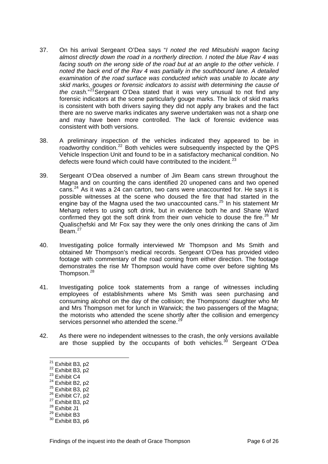- 37. On his arrival Sergeant O'Dea says "*I noted the red Mitsubishi wagon facing almost directly down the road in a northerly direction. I noted the blue Rav 4 was facing south on the wrong side of the road but at an angle to the other vehicle. I noted the back end of the Rav 4 was partially in the southbound lane. A detailed examination of the road surface was conducted which was unable to locate any skid marks, gouges or forensic indicators to assist with determining the cause of*  the crash."<sup>[21](#page-6-0)</sup> Sergeant O'Dea stated that it was very unusual to not find any forensic indicators at the scene particularly gouge marks. The lack of skid marks is consistent with both drivers saying they did not apply any brakes and the fact there are no swerve marks indicates any swerve undertaken was not a sharp one and may have been more controlled. The lack of forensic evidence was consistent with both versions.
- 38. A preliminary inspection of the vehicles indicated they appeared to be in roadworthy condition.<sup>[22](#page-6-1)</sup> Both vehicles were subsequently inspected by the QPS Vehicle Inspection Unit and found to be in a satisfactory mechanical condition. No defects were found which could have contributed to the incident.<sup>[23](#page-6-2)</sup>
- 39. Sergeant O'Dea observed a number of Jim Beam cans strewn throughout the Magna and on counting the cans identified 20 unopened cans and two opened cans.<sup>[24](#page-6-3)</sup> As it was a 24 can carton, two cans were unaccounted for. He says it is possible witnesses at the scene who doused the fire that had started in the engine bay of the Magna used the two unaccounted cans.<sup>[25](#page-6-4)</sup> In his statement Mr Meharg refers to using soft drink, but in evidence both he and Shane Ward confirmed they got the soft drink from their own vehicle to douse the fire.<sup>[26](#page-6-5)</sup> Mr Qualischefski and Mr Fox say they were the only ones drinking the cans of Jim Beam.[27](#page-6-6)
- 40. Investigating police formally interviewed Mr Thompson and Ms Smith and obtained Mr Thompson's medical records. Sergeant O'Dea has provided video footage with commentary of the road coming from either direction. The footage demonstrates the rise Mr Thompson would have come over before sighting Ms Thompson.<sup>[28](#page-6-7)</sup>
- 41. Investigating police took statements from a range of witnesses including employees of establishments where Ms Smith was seen purchasing and consuming alcohol on the day of the collision; the Thompsons' daughter who Mr and Mrs Thompson met for lunch in Warwick; the two passengers of the Magna; the motorists who attended the scene shortly after the collision and emergency services personnel who attended the scene.<sup>[29](#page-6-8)</sup>
- 42. As there were no independent witnesses to the crash, the only versions available are those supplied by the occupants of both vehicles.<sup>[30](#page-6-9)</sup> Sergeant O'Dea

- <span id="page-6-2"></span>
- 
- 
- <span id="page-6-5"></span><span id="page-6-4"></span><span id="page-6-3"></span><sup>25</sup> Exhibit B3, p2<br>
<sup>26</sup> Exhibit C7, p2<br>
<sup>27</sup> Exhibit B3, p2<br>
<sup>28</sup> Exhibit J1
- 
- <span id="page-6-7"></span><span id="page-6-6"></span>
- <span id="page-6-8"></span> $29$  Exhibit B3

<span id="page-6-0"></span><sup>&</sup>lt;sup>21</sup> Exhibit B3, p2

<span id="page-6-1"></span><sup>&</sup>lt;sup>22</sup> Exhibit B3, p2<br>
<sup>23</sup> Exhibit C4<br>
<sup>24</sup> Exhibit B2, p2

<span id="page-6-9"></span><sup>&</sup>lt;sup>30</sup> Exhibit B3, p6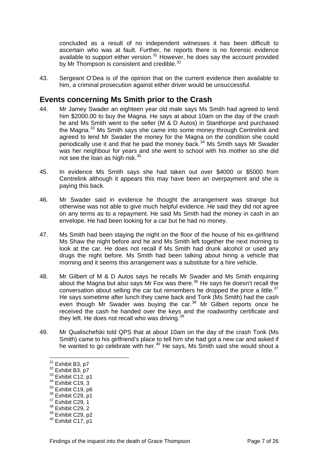concluded as a result of no independent witnesses it has been difficult to ascertain who was at fault. Further, he reports there is no forensic evidence available to support either version. $31$  However, he does say the account provided by Mr Thompson is consistent and credible.<sup>[32](#page-7-1)</sup>

43. Sergeant O'Dea is of the opinion that on the current evidence then available to him, a criminal prosecution against either driver would be unsuccessful.

### **Events concerning Ms Smith prior to the Crash**

- 44. Mr Jamey Swader an eighteen year old male says Ms Smith had agreed to lend him \$2000.00 to buy the Magna. He says at about 10am on the day of the crash he and Ms Smith went to the seller (M & D Autos) in Stanthorpe and purchased the Magna.<sup>[33](#page-7-2)</sup> Ms Smith says she came into some money through Centrelink and agreed to lend Mr Swader the money for the Magna on the condition she could periodically use it and that he paid the money back.[34](#page-7-3) Ms Smith says Mr Swader was her neighbour for years and she went to school with his mother so she did not see the loan as high risk.<sup>[35](#page-7-4)</sup>
- 45. In evidence Ms Smith says she had taken out over \$4000 or \$5000 from Centrelink although it appears this may have been an overpayment and she is paying this back.
- 46. Mr Swader said in evidence he thought the arrangement was strange but otherwise was not able to give much helpful evidence. He said they did not agree on any terms as to a repayment. He said Ms Smith had the money in cash in an envelope. He had been looking for a car but he had no money.
- 47. Ms Smith had been staying the night on the floor of the house of his ex-girlfriend Ms Shaw the night before and he and Ms Smith left together the next morning to look at the car. He does not recall if Ms Smith had drunk alcohol or used any drugs the night before. Ms Smith had been talking about hiring a vehicle that morning and it seems this arrangement was a substitute for a hire vehicle.
- 48. Mr Gilbert of M & D Autos says he recalls Mr Swader and Ms Smith enquiring about the Magna but also says Mr Fox was there.<sup>[36](#page-7-5)</sup> He says he doesn't recall the conversation about selling the car but remembers he dropped the price a little. $37$ He says sometime after lunch they came back and Tonk (Ms Smith) had the cash even though Mr Swader was buying the car. $38$  Mr Gilbert reports once he received the cash he handed over the keys and the roadworthy certificate and they left. He does not recall who was driving.<sup>[39](#page-7-8)</sup>
- 49. Mr Qualischefski told QPS that at about 10am on the day of the crash Tonk (Ms Smith) came to his girlfriend's place to tell him she had got a new car and asked if he wanted to go celebrate with her.<sup>[40](#page-7-9)</sup> He says, Ms Smith said she would shout a

<span id="page-7-0"></span><sup>&</sup>lt;sup>31</sup> Exhibit B3, p7

<span id="page-7-1"></span><sup>&</sup>lt;sup>32</sup> Exhibit B3, p7<br><sup>33</sup> Exhibit C12, p1<br><sup>34</sup> Exhibit C19, 3<br><sup>35</sup> Exhibit C19, p6

<span id="page-7-2"></span>

<span id="page-7-3"></span>

<span id="page-7-4"></span>

<span id="page-7-5"></span> $36$  Exhibit C29, p1<br> $37$  Exhibit C29, 1

<span id="page-7-6"></span>

<span id="page-7-7"></span><sup>&</sup>lt;sup>38</sup> Exhibit C29, 2

<span id="page-7-8"></span> $39$  Exhibit C29, p2<br> $40$  Exhibit C17, p1

<span id="page-7-9"></span>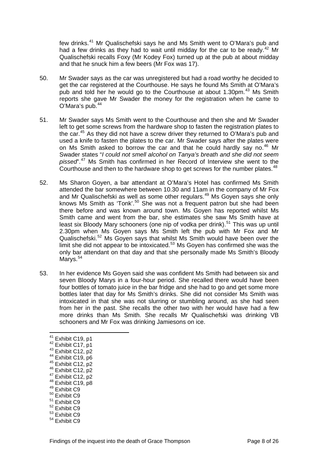few drinks.[41](#page-8-0) Mr Qualischefski says he and Ms Smith went to O'Mara's pub and had a few drinks as they had to wait until midday for the car to be ready.<sup>[42](#page-8-1)</sup> Mr Qualischefski recalls Foxy (Mr Kodey Fox) turned up at the pub at about midday and that he snuck him a few beers (Mr Fox was 17).

- 50. Mr Swader says as the car was unregistered but had a road worthy he decided to get the car registered at the Courthouse. He says he found Ms Smith at O'Mara's pub and told her he would go to the Courthouse at about 1.30pm.<sup>[43](#page-8-2)</sup> Ms Smith reports she gave Mr Swader the money for the registration when he came to O'Mara's pub.<sup>[44](#page-8-3)</sup>
- 51. Mr Swader says Ms Smith went to the Courthouse and then she and Mr Swader left to get some screws from the hardware shop to fasten the registration plates to the car.<sup>[45](#page-8-4)</sup> As they did not have a screw driver they returned to O'Mara's pub and used a knife to fasten the plates to the car. Mr Swader says after the plates were on Ms Smith asked to borrow the car and that he could hardly say no.<sup>[46](#page-8-5)</sup> Mr Swader states "*I could not smell alcohol on Tanya's breath and she did not seem pissed*".[47](#page-8-6) Ms Smith has confirmed in her Record of Interview she went to the Courthouse and then to the hardware shop to get screws for the number plates.<sup>[48](#page-8-7)</sup>
- 52. Ms Sharon Goyen, a bar attendant at O'Mara's Hotel has confirmed Ms Smith attended the bar somewhere between 10.30 and 11am in the company of Mr Fox and Mr Qualischefski as well as some other regulars.<sup>[49](#page-8-8)</sup> Ms Goyen says she only knows Ms Smith as 'Tonk'.<sup>[50](#page-8-9)</sup> She was not a frequent patron but she had been there before and was known around town. Ms Goyen has reported whilst Ms Smith came and went from the bar, she estimates she saw Ms Smith have at least six Bloody Mary schooners (one nip of vodka per drink).<sup>[51](#page-8-10)</sup> This was up until 2.30pm when Ms Goyen says Ms Smith left the pub with Mr Fox and Mr Qualischefski.[52](#page-8-11) Ms Goyen says that whilst Ms Smith would have been over the limit she did not appear to be intoxicated.<sup>[53](#page-8-12)</sup> Ms Goyen has confirmed she was the only bar attendant on that day and that she personally made Ms Smith's Bloody Marys.<sup>[54](#page-8-13)</sup>
- <span id="page-8-13"></span><span id="page-8-12"></span><span id="page-8-11"></span><span id="page-8-10"></span><span id="page-8-9"></span><span id="page-8-8"></span><span id="page-8-7"></span><span id="page-8-6"></span><span id="page-8-5"></span><span id="page-8-4"></span><span id="page-8-3"></span><span id="page-8-2"></span><span id="page-8-1"></span><span id="page-8-0"></span>53. In her evidence Ms Goyen said she was confident Ms Smith had between six and seven Bloody Marys in a four-hour period. She recalled there would have been four bottles of tomato juice in the bar fridge and she had to go and get some more bottles later that day for Ms Smith's drinks. She did not consider Ms Smith was intoxicated in that she was not slurring or stumbling around, as she had seen from her in the past. She recalls the other two with her would have had a few more drinks than Ms Smith. She recalls Mr Qualischefski was drinking VB schooners and Mr Fox was drinking Jamiesons on ice.
	- <sup>41</sup> Exhibit C19, p1
	- <sup>42</sup> Exhibit C17, p1<br>
	<sup>43</sup> Exhibit C12, p2<br>
	<sup>44</sup> Exhibit C19, p6<br>
	<sup>45</sup> Exhibit C12, p2<br>
	<sup>46</sup> Exhibit C12, p2<br>
	<sup>44</sup> Exhibit C12, p2<br>
	<sup>48</sup> Exhibit C19, p8<br>
	<sup>49</sup> Exhibit C9
	-
	-
	-
	-
	-
	-
	-
	- 50 Exhibit C9
	- <sup>51</sup> Exhibit C9
	- $52$  Exhibit C9
	- 53 Exhibit C9
	- $54$  Exhibit C.9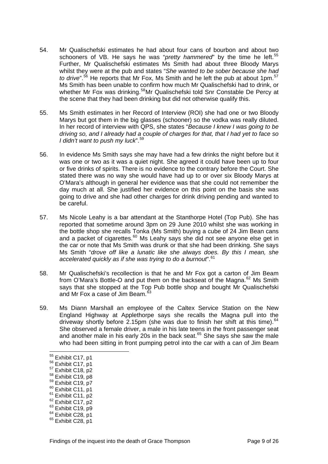- 54. Mr Qualischefski estimates he had about four cans of bourbon and about two schooners of VB. He says he was "*pretty hammered*" by the time he left.<sup>[55](#page-9-0)</sup> Further, Mr Qualischefski estimates Ms Smith had about three Bloody Marys whilst they were at the pub and states "*She wanted to be sober because she had to drive*".<sup>[56](#page-9-1)</sup> He reports that Mr Fox, Ms Smith and he left the pub at about 1pm.<sup>[57](#page-9-2)</sup> Ms Smith has been unable to confirm how much Mr Qualischefski had to drink, or whether Mr Fox was drinking.<sup>[58](#page-9-3)</sup>Mr Qualischefski told Snr Constable De Percy at the scene that they had been drinking but did not otherwise qualify this.
- 55. Ms Smith estimates in her Record of Interview (ROI) she had one or two Bloody Marys but got them in the big glasses (schooner) so the vodka was really diluted. In her record of interview with QPS, she states "*Because I knew I was going to be driving so, and I already had a couple of charges for that, that I had yet to face so I didn't want to push my luck*".[59](#page-9-4)
- 56. In evidence Ms Smith says she may have had a few drinks the night before but it was one or two as it was a quiet night. She agreed it could have been up to four or five drinks of spirits. There is no evidence to the contrary before the Court. She stated there was no way she would have had up to or over six Bloody Marys at O'Mara's although in general her evidence was that she could not remember the day much at all. She justified her evidence on this point on the basis she was going to drive and she had other charges for drink driving pending and wanted to be careful.
- 57. Ms Nicole Leahy is a bar attendant at the Stanthorpe Hotel (Top Pub). She has reported that sometime around 3pm on 29 June 2010 whilst she was working in the bottle shop she recalls Tonka (Ms Smith) buying a cube of 24 Jim Bean cans and a packet of cigarettes.<sup>[60](#page-9-5)</sup> Ms Leahy says she did not see anyone else get in the car or note that Ms Smith was drunk or that she had been drinking. She says Ms Smith "*drove off like a lunatic like she always does. By this I mean, she accelerated quickly as if she was trying to do a burnout*".[61](#page-9-6)
- 58. Mr Qualischefski's recollection is that he and Mr Fox got a carton of Jim Beam from O'Mara's Bottle-O and put them on the backseat of the Magna.<sup>[62](#page-9-7)</sup> Ms Smith says that she stopped at the Top Pub bottle shop and bought Mr Qualischefski and Mr Fox a case of Jim Beam.<sup>[63](#page-9-8)</sup>
- 59. Ms Diann Marshall an employee of the Caltex Service Station on the New England Highway at Applethorpe says she recalls the Magna pull into the driveway shortly before 2.15pm (she was due to finish her shift at this time).<sup>[64](#page-9-9)</sup> She observed a female driver, a male in his late teens in the front passenger seat and another male in his early 20s in the back seat.<sup>[65](#page-9-10)</sup> She says she saw the male who had been sitting in front pumping petrol into the car with a can of Jim Beam

- <span id="page-9-5"></span><span id="page-9-4"></span>
- 
- <span id="page-9-6"></span>
- <span id="page-9-8"></span><span id="page-9-7"></span>
- <span id="page-9-3"></span><sup>58</sup> Exhibit C19, p8<br><sup>69</sup> Exhibit C19, p7<br><sup>61</sup> Exhibit C11, p1<br><sup>61</sup> Exhibit C11, p2<br><sup>62</sup> Exhibit C17, p2<br><sup>63</sup> Exhibit C28, p1<br><sup>65</sup> Exhibit C28, p1
- <span id="page-9-9"></span>

<span id="page-9-0"></span><sup>&</sup>lt;sup>55</sup> Exhibit C17, p1

<span id="page-9-1"></span> $56$  Exhibit C17, p1<br> $57$  Exhibit C18, p2

<span id="page-9-2"></span>

<span id="page-9-10"></span>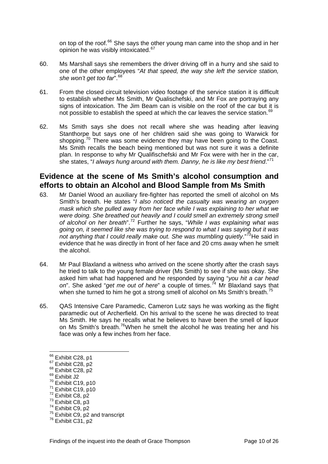on top of the roof.<sup>[66](#page-10-0)</sup> She says the other young man came into the shop and in her opinion he was visibly intoxicated.<sup>[67](#page-10-1)</sup>

- 60. Ms Marshall says she remembers the driver driving off in a hurry and she said to one of the other employees "*At that speed, the way she left the service station, she won't get too far*".[68](#page-10-2)
- 61. From the closed circuit television video footage of the service station it is difficult to establish whether Ms Smith, Mr Qualischefski, and Mr Fox are portraying any signs of intoxication. The Jim Beam can is visible on the roof of the car but it is not possible to establish the speed at which the car leaves the service station.<sup>[69](#page-10-3)</sup>
- 62. Ms Smith says she does not recall where she was heading after leaving Stanthorpe but says one of her children said she was going to Warwick for shopping.<sup>[70](#page-10-4)</sup> There was some evidence they may have been going to the Coast. Ms Smith recalls the beach being mentioned but was not sure it was a definite plan. In response to why Mr Qualifischefski and Mr Fox were with her in the car, she states, "*I always hung around with them. Danny, he is like my best friend*."[71](#page-10-5)

### **Evidence at the scene of Ms Smith's alcohol consumption and efforts to obtain an Alcohol and Blood Sample from Ms Smith**

- 63. Mr Daniel Wood an auxiliary fire-fighter has reported the smell of alcohol on Ms Smith's breath. He states "*I also noticed the casualty was wearing an oxygen mask which she pulled away from her face while I was explaining to her what we were doing. She breathed out heavily and I could smell an extremely strong smell of alcohol on her breath*".[72](#page-10-6) Further he says, "*While I was explaining what was going on, it seemed like she was trying to respond to what I was saying but it was not anything that I could really make out. She was mumbling quietly*."[73](#page-10-7)He said in evidence that he was directly in front of her face and 20 cms away when he smelt the alcohol.
- 64. Mr Paul Blaxland a witness who arrived on the scene shortly after the crash says he tried to talk to the young female driver (Ms Smith) to see if she was okay. She asked him what had happened and he responded by saying "*you hit a car head*  on". She asked "*get me out of here*" a couple of times.<sup>[74](#page-10-8)</sup> Mr Blaxland says that when she turned to him he got a strong smell of alcohol on Ms Smith's breath.<sup>[75](#page-10-9)</sup>
- 65. QAS Intensive Care Paramedic, Cameron Lutz says he was working as the flight paramedic out of Archerfield. On his arrival to the scene he was directed to treat Ms Smith. He says he recalls what he believes to have been the smell of liquor on Ms Smith's breath.<sup>[76](#page-10-10)</sup>When he smelt the alcohol he was treating her and his face was only a few inches from her face.

<span id="page-10-6"></span>

<span id="page-10-0"></span><sup>&</sup>lt;sup>66</sup> Exhibit C28, p1

<span id="page-10-1"></span><sup>&</sup>lt;sup>67</sup> Exhibit C28, p2<br><sup>68</sup> Exhibit C28, p2<br><sup>69</sup> Exhibit J2<br><sup>70</sup> Exhibit C19, p10

<span id="page-10-2"></span>

<span id="page-10-3"></span>

<span id="page-10-7"></span>

<span id="page-10-9"></span><span id="page-10-8"></span>

<span id="page-10-5"></span><span id="page-10-4"></span><sup>&</sup>lt;sup>71</sup> Exhibit C19, p10<br>
<sup>72</sup> Exhibit C8, p2<br>
<sup>73</sup> Exhibit C9, p2<br>
<sup>75</sup> Exhibit C9, p2 and transcript<br>
<sup>76</sup> Exhibit C31, p2

<span id="page-10-10"></span>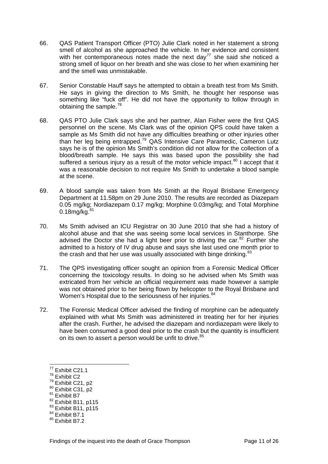- 66. QAS Patient Transport Officer (PTO) Julie Clark noted in her statement a strong smell of alcohol as she approached the vehicle. In her evidence and consistent with her contemporaneous notes made the next day<sup>[77](#page-11-0)</sup> she said she noticed a strong smell of liquor on her breath and she was close to her when examining her and the smell was unmistakable.
- 67. Senior Constable Hauff says he attempted to obtain a breath test from Ms Smith. He says in giving the direction to Ms Smith, he thought her response was something like "fuck off". He did not have the opportunity to follow through in obtaining the sample.<sup>[78](#page-11-1)</sup>
- 68. QAS PTO Julie Clark says she and her partner, Alan Fisher were the first QAS personnel on the scene. Ms Clark was of the opinion QPS could have taken a sample as Ms Smith did not have any difficulties breathing or other injuries other than her leg being entrapped.<sup>[79](#page-11-2)</sup> QAS Intensive Care Paramedic, Cameron Lutz says he is of the opinion Ms Smith's condition did not allow for the collection of a blood/breath sample. He says this was based upon the possibility she had suffered a serious injury as a result of the motor vehicle impact. $80$  I accept that it was a reasonable decision to not require Ms Smith to undertake a blood sample at the scene.
- 69. A blood sample was taken from Ms Smith at the Royal Brisbane Emergency Department at 11.58pm on 29 June 2010. The results are recorded as Diazepam 0.05 mg/kg; Nordiazepam 0.17 mg/kg; Morphine 0.03mg/kg; and Total Morphine  $0.18$ mg/kg. $8$
- 70. Ms Smith advised an ICU Registrar on 30 June 2010 that she had a history of alcohol abuse and that she was seeing some local services in Stanthorpe. She advised the Doctor she had a light beer prior to driving the car.  $82$  Further she admitted to a history of IV drug abuse and says she last used one month prior to the crash and that her use was usually associated with binge drinking.  $83$
- 71. The QPS investigating officer sought an opinion from a Forensic Medical Officer concerning the toxicology results. In doing so he advised when Ms Smith was extricated from her vehicle an official requirement was made however a sample was not obtained prior to her being flown by helicopter to the Royal Brisbane and Women's Hospital due to the seriousness of her injuries.<sup>[84](#page-11-7)</sup>
- 72. The Forensic Medical Officer advised the finding of morphine can be adequately explained with what Ms Smith was administered in treating her for her injuries after the crash. Further, he advised the diazepam and nordiazepam were likely to have been consumed a good deal prior to the crash but the quantity is insufficient on its own to assert a person would be unfit to drive.<sup>[85](#page-11-8)</sup>

- <span id="page-11-4"></span><span id="page-11-3"></span><span id="page-11-2"></span><sup>80</sup> Exhibit C31, p2<br><sup>81</sup> Exhibit B7<br><sup>82</sup> Exhibit B11, p115
- 

 $77$  Exhibit C21.1

<span id="page-11-1"></span><span id="page-11-0"></span> $78$  Exhibit C2<br> $79$  Exhibit C21, p2

<span id="page-11-6"></span><span id="page-11-5"></span> $\frac{83}{84}$  Exhibit B11, p115<br> $\frac{84}{84}$  Exhibit B7.1

<span id="page-11-7"></span>

<span id="page-11-8"></span> $85$  Exhibit B7.2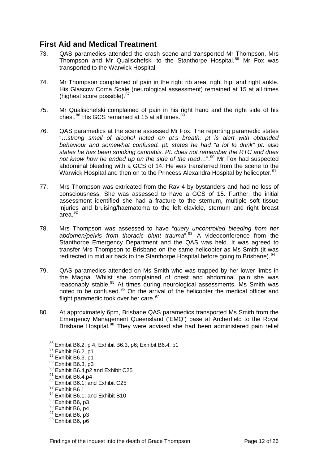### **First Aid and Medical Treatment**

- 73. QAS paramedics attended the crash scene and transported Mr Thompson, Mrs Thompson and Mr Qualischefski to the Stanthorpe Hospital.<sup>[86](#page-12-0)</sup> Mr Fox was transported to the Warwick Hospital.
- 74. Mr Thompson complained of pain in the right rib area, right hip, and right ankle. His Glascow Coma Scale (neurological assessment) remained at 15 at all times (highest score possible). <sup>[87](#page-12-1)</sup>
- 75. Mr Qualischefski complained of pain in his right hand and the right side of his chest.<sup>[88](#page-12-2)</sup> His GCS remained at 15 at all times.<sup>[89](#page-12-3)</sup>
- 76. QAS paramedics at the scene assessed Mr Fox. The reporting paramedic states "…*strong smell of alcohol noted on pt's breath. pt is alert with obtunded behaviour and somewhat confused. pt. states he had "a lot to drink" pt. also states he has been smoking cannabis. Pt. does not remember the RTC and does not know how he ended up on the side of the road...*".<sup>[90](#page-12-4)</sup> Mr Fox had suspected abdominal bleeding with a GCS of 14. He was transferred from the scene to the Warwick Hospital and then on to the Princess Alexandra Hospital by helicopter.<sup>[91](#page-12-5)</sup>
- 77. Mrs Thompson was extricated from the Rav 4 by bystanders and had no loss of consciousness. She was assessed to have a GCS of 15. Further, the initial assessment identified she had a fracture to the sternum, multiple soft tissue injuries and bruising/haematoma to the left clavicle, sternum and right breast area.[92](#page-12-6)
- 78. Mrs Thompson was assessed to have "*query uncontrolled bleeding from her*  abdomen/pelvis from thoracic blunt trauma<sup>".[93](#page-12-7)</sup> A videoconference from the Stanthorpe Emergency Department and the QAS was held. It was agreed to transfer Mrs Thompson to Brisbane on the same helicopter as Ms Smith (it was redirected in mid air back to the Stanthorpe Hospital before going to Brisbane).<sup>[94](#page-12-8)</sup>
- 79. QAS paramedics attended on Ms Smith who was trapped by her lower limbs in the Magna. Whilst she complained of chest and abdominal pain she was reasonably stable.<sup>[95](#page-12-9)</sup> At times during neurological assessments, Ms Smith was noted to be confused.<sup>[96](#page-12-10)</sup> On the arrival of the helicopter the medical officer and flight paramedic took over her care. $97$
- 80. At approximately 6pm, Brisbane QAS paramedics transported Ms Smith from the Emergency Management Queensland ('EMQ') base at Archerfield to the Royal Brisbane Hospital.<sup>[98](#page-12-12)</sup> They were advised she had been administered pain relief

l

<span id="page-12-10"></span> $\frac{96}{97}$  Exhibit B6, p4<br> $\frac{97}{98}$  Exhibit B6, p3<br>Exhibit B6, p6

<span id="page-12-1"></span><span id="page-12-0"></span><sup>&</sup>lt;sup>86</sup> Exhibit B6.2, p 4; Exhibit B6.3, p6; Exhibit B6.4, p1<br><sup>87</sup> Exhibit B6.2, p1<br><sup>88</sup> Exhibit B6.3, p3<br><sup>90</sup> Exhibit B6.4,p2 and Exhibit C25<br><sup>91</sup> Exhibit B6.4,p4<br><sup>92</sup> Exhibit B6.1; and Exhibit C25

<span id="page-12-3"></span><span id="page-12-2"></span>

<span id="page-12-4"></span>

<span id="page-12-5"></span>

<span id="page-12-6"></span> $^{92}$  Exhibit B6.1; and Exhibit C25<br> $^{93}$  Exhibit B6.1

<span id="page-12-7"></span>

<span id="page-12-8"></span> $^{94}$  Exhibit B6.1; and Exhibit B10<br> $^{95}$  Exhibit B6, p3

<span id="page-12-9"></span>

<span id="page-12-11"></span>

<span id="page-12-12"></span>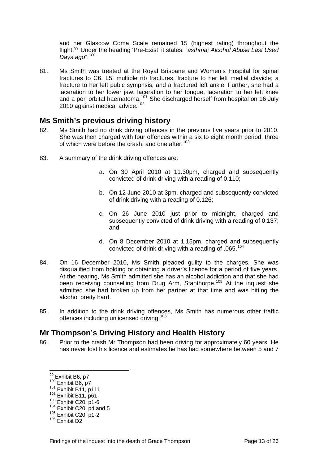and her Glascow Coma Scale remained 15 (highest rating) throughout the flight.[99](#page-13-0) Under the heading 'Pre-Exist' it states: "*asthma; Alcohol Abuse Last Used Days ago*".[100](#page-13-1)

81. Ms Smith was treated at the Royal Brisbane and Women's Hospital for spinal fractures to C6, L5, multiple rib fractures, fracture to her left medial clavicle; a fracture to her left pubic symphsis, and a fractured left ankle. Further, she had a laceration to her lower jaw, laceration to her tongue, laceration to her left knee and a peri orbital haematoma.<sup>[101](#page-13-2)</sup> She discharged herself from hospital on 16 July 2010 against medical advice. $102$ 

### **Ms Smith's previous driving history**

- 82. Ms Smith had no drink driving offences in the previous five years prior to 2010. She was then charged with four offences within a six to eight month period, three of which were before the crash, and one after.<sup>[103](#page-13-4)</sup>
- 83. A summary of the drink driving offences are:
	- a. On 30 April 2010 at 11.30pm, charged and subsequently convicted of drink driving with a reading of 0.110;
	- b. On 12 June 2010 at 3pm, charged and subsequently convicted of drink driving with a reading of 0.126;
	- c. On 26 June 2010 just prior to midnight, charged and subsequently convicted of drink driving with a reading of 0.137; and
	- d. On 8 December 2010 at 1.15pm, charged and subsequently convicted of drink driving with a reading of .065.<sup>[104](#page-13-5)</sup>
- 84. On 16 December 2010, Ms Smith pleaded guilty to the charges. She was disqualified from holding or obtaining a driver's licence for a period of five years. At the hearing, Ms Smith admitted she has an alcohol addiction and that she had been receiving counselling from Drug Arm, Stanthorpe.<sup>[105](#page-13-6)</sup> At the inquest she admitted she had broken up from her partner at that time and was hitting the alcohol pretty hard.
- 85. In addition to the drink driving offences, Ms Smith has numerous other traffic offences including unlicensed driving.<sup>[106](#page-13-7)</sup>

### **Mr Thompson's Driving History and Health History**

86. Prior to the crash Mr Thompson had been driving for approximately 60 years. He has never lost his licence and estimates he has had somewhere between 5 and 7

<span id="page-13-0"></span><sup>99</sup> Exhibit B6, p7

<span id="page-13-2"></span><span id="page-13-1"></span>

<span id="page-13-4"></span><span id="page-13-3"></span>

<sup>&</sup>lt;sup>100</sup> Exhibit B6, p7<br><sup>101</sup> Exhibit B11, p111<br><sup>102</sup> Exhibit B11, p61<br><sup>103</sup> Exhibit C20, p1-6<br><sup>104</sup> Exhibit C20, p4 and 5<br><sup>105</sup> Exhibit C20, p1-2<br><sup>106</sup> Exhibit D2

<span id="page-13-5"></span>

<span id="page-13-7"></span><span id="page-13-6"></span>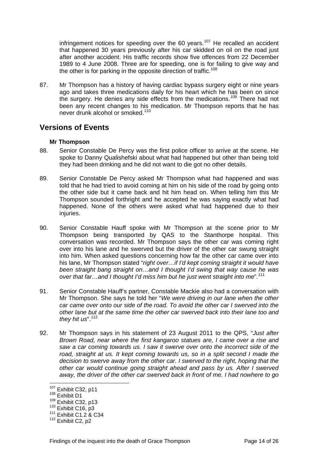infringement notices for speeding over the 60 years.<sup>[107](#page-14-0)</sup> He recalled an accident that happened 30 years previously after his car skidded on oil on the road just after another accident. His traffic records show five offences from 22 December 1989 to 4 June 2008. Three are for speeding, one is for failing to give way and the other is for parking in the opposite direction of traffic.<sup>[108](#page-14-1)</sup>

87. Mr Thompson has a history of having cardiac bypass surgery eight or nine years ago and takes three medications daily for his heart which he has been on since the surgery. He denies any side effects from the medications.<sup>[109](#page-14-2)</sup> There had not been any recent changes to his medication. Mr Thompson reports that he has never drunk alcohol or smoked.<sup>[110](#page-14-3)</sup>

### **Versions of Events**

### **Mr Thompson**

- 88. Senior Constable De Percy was the first police officer to arrive at the scene. He spoke to Danny Qualishefski about what had happened but other than being told they had been drinking and he did not want to die got no other details.
- 89. Senior Constable De Percy asked Mr Thompson what had happened and was told that he had tried to avoid coming at him on his side of the road by going onto the other side but it came back and hit him head on. When telling him this Mr Thompson sounded forthright and he accepted he was saying exactly what had happened. None of the others were asked what had happened due to their injuries.
- 90. Senior Constable Hauff spoke with Mr Thompson at the scene prior to Mr Thompson being transported by QAS to the Stanthorpe hospital. This conversation was recorded. Mr Thompson says the other car was coming right over into his lane and he swerved but the driver of the other car swung straight into him. When asked questions concerning how far the other car came over into his lane, Mr Thompson stated "*right over…if I'd kept coming straight it would have been straight bang straight on…and I thought I'd swing that way cause he was over that far…and I thought I'd miss him but he just went straight into me*".[111](#page-14-4)
- 91. Senior Constable Hauff's partner, Constable Mackie also had a conversation with Mr Thompson. She says he told her "*We were driving in our lane when the other car came over onto our side of the road. To avoid the other car I swerved into the other lane but at the same time the other car swerved back into their lane too and*  they hit us".<sup>[112](#page-14-5)</sup>
- 92. Mr Thompson says in his statement of 23 August 2011 to the QPS, "*Just after Brown Road, near where the first kangaroo statues are, I came over a rise and saw a car coming towards us. I saw it swerve over onto the incorrect side of the*  road, straight at us. It kept coming towards us, so in a split second I made the *decision to swerve away from the other car. I swerved to the right, hoping that the other car would continue going straight ahead and pass by us. After I swerved away, the driver of the other car swerved back in front of me. I had nowhere to go*

<sup>&</sup>lt;sup>107</sup> Exhibit C32, p11<br><sup>108</sup> Exhibit D1

<span id="page-14-2"></span>

<span id="page-14-4"></span><span id="page-14-3"></span>

<span id="page-14-1"></span><span id="page-14-0"></span><sup>&</sup>lt;sup>108</sup> Exhibit D1<br><sup>109</sup> Exhibit C32, p13<br><sup>110</sup> Exhibit C16, p3<br><sup>111</sup> Exhibit C1.2 & C34

<span id="page-14-5"></span> $112$  Exhibit C2, p2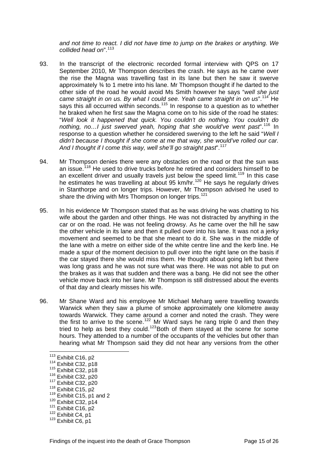*and not time to react. I did not have time to jump on the brakes or anything. We collided head on*".[113](#page-15-0)

- 93. In the transcript of the electronic recorded formal interview with QPS on 17 September 2010, Mr Thompson describes the crash. He says as he came over the rise the Magna was travelling fast in its lane but then he saw it swerve approximately ¾ to 1 metre into his lane. Mr Thompson thought if he darted to the other side of the road he would avoid Ms Smith however he says "*well she just*  came straight in on us. By what I could see. Yeah came straight in on us".<sup>[114](#page-15-1)</sup> He says this all occurred within seconds.<sup>[115](#page-15-2)</sup> In response to a question as to whether he braked when he first saw the Magna come on to his side of the road he states: "*Well look it happened that quick. You couldn't do nothing. You couldn't do nothing, no…I just swerved yeah, hoping that she would've went past*<sup>".[116](#page-15-3)</sup> In response to a question whether he considered swerving to the left he said "*Well I didn't because I thought if she come at me that way, she would've rolled our car. And I thought if I come this way, well she'll go straight past*".[117](#page-15-4)
- 94. Mr Thompson denies there were any obstacles on the road or that the sun was an issue.<sup>[118](#page-15-5)</sup> He used to drive trucks before he retired and considers himself to be an excellent driver and usually travels just below the speed limit.<sup>[119](#page-15-6)</sup> In this case he estimates he was travelling at about 95 km/hr.<sup>[120](#page-15-7)</sup> He says he regularly drives in Stanthorpe and on longer trips. However, Mr Thompson advised he used to share the driving with Mrs Thompson on longer trips.<sup>[121](#page-15-8)</sup>
- 95. In his evidence Mr Thompson stated that as he was driving he was chatting to his wife about the garden and other things. He was not distracted by anything in the car or on the road. He was not feeling drowsy. As he came over the hill he saw the other vehicle in its lane and then it pulled over into his lane. It was not a jerky movement and seemed to be that she meant to do it. She was in the middle of the lane with a metre on either side of the white centre line and the kerb line. He made a spur of the moment decision to pull over into the right lane on the basis if the car stayed there she would miss them. He thought about going left but there was long grass and he was not sure what was there. He was not able to put on the brakes as it was that sudden and there was a bang. He did not see the other vehicle move back into her lane. Mr Thompson is still distressed about the events of that day and clearly misses his wife.
- 96. Mr Shane Ward and his employee Mr Michael Meharg were travelling towards Warwick when they saw a plume of smoke approximately one kilometre away towards Warwick. They came around a corner and noted the crash. They were the first to arrive to the scene.<sup>[122](#page-15-9)</sup> Mr Ward says he rang triple 0 and then they tried to help as best they could.<sup>[123](#page-15-10)</sup>Both of them stayed at the scene for some hours. They attended to a number of the occupants of the vehicles but other than hearing what Mr Thompson said they did not hear any versions from the other

<span id="page-15-4"></span>

<span id="page-15-8"></span>

<span id="page-15-0"></span> $113$  Exhibit C16, p2

<span id="page-15-2"></span>

<span id="page-15-3"></span>

<span id="page-15-5"></span>

<span id="page-15-1"></span><sup>&</sup>lt;sup>114</sup> Exhibit C32, p18<br>
<sup>115</sup> Exhibit C32, p18<br>
<sup>116</sup> Exhibit C32, p20<br>
<sup>117</sup> Exhibit C32, p20<br>
<sup>118</sup> Exhibit C15, p2<br>
<sup>119</sup> Exhibit C15, p1 and 2<br>
<sup>120</sup> Exhibit C32, p14<br>
<sup>121</sup> Exhibit C16, p2<br>
<sup>122</sup> Exhibit C4, p1<br>
<sup>123</sup>

<span id="page-15-7"></span><span id="page-15-6"></span>

<span id="page-15-9"></span>

<span id="page-15-10"></span>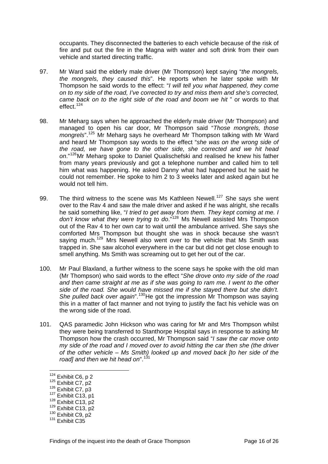occupants. They disconnected the batteries to each vehicle because of the risk of fire and put out the fire in the Magna with water and soft drink from their own vehicle and started directing traffic.

- 97. Mr Ward said the elderly male driver (Mr Thompson) kept saying "*the mongrels, the mongrels, they caused this*". He reports when he later spoke with Mr Thompson he said words to the effect: "*I will tell you what happened, they come on to my side of the road, I've corrected to try and miss them and she's corrected, came back on to the right side of the road and boom we hit* " or words to that effect.[124](#page-16-0)
- 98. Mr Meharg says when he approached the elderly male driver (Mr Thompson) and managed to open his car door, Mr Thompson said "*Those mongrels, those mongrels*".[125](#page-16-1) Mr Meharg says he overheard Mr Thompson talking with Mr Ward and heard Mr Thompson say words to the effect "*she was on the wrong side of the road, we have gone to the other side, she corrected and we hit head on*."[126](#page-16-2)Mr Meharg spoke to Daniel Qualischefski and realised he knew his father from many years previously and got a telephone number and called him to tell him what was happening. He asked Danny what had happened but he said he could not remember. He spoke to him 2 to 3 weeks later and asked again but he would not tell him.
- 99. The third witness to the scene was Ms Kathleen Newell.<sup>[127](#page-16-3)</sup> She says she went over to the Rav 4 and saw the male driver and asked if he was alright, she recalls he said something like, "*I tried to get away from them. They kept coming at me. I don't know what they were trying to do*."[128](#page-16-4) Ms Newell assisted Mrs Thompson out of the Rav 4 to her own car to wait until the ambulance arrived. She says she comforted Mrs Thompson but thought she was in shock because she wasn't saying much.<sup>[129](#page-16-5)</sup> Mrs Newell also went over to the vehicle that Ms Smith was trapped in. She saw alcohol everywhere in the car but did not get close enough to smell anything. Ms Smith was screaming out to get her out of the car.
- 100. Mr Paul Blaxland, a further witness to the scene says he spoke with the old man (Mr Thompson) who said words to the effect "*She drove onto my side of the road and then came straight at me as if she was going to ram me. I went to the other side of the road. She would have missed me if she stayed there but she didn't. She pulled back over again*".<sup>[130](#page-16-6)</sup>He got the impression Mr Thompson was saying this in a matter of fact manner and not trying to justify the fact his vehicle was on the wrong side of the road.
- 101. QAS paramedic John Hickson who was caring for Mr and Mrs Thompson whilst they were being transferred to Stanthorpe Hospital says in response to asking Mr Thompson how the crash occurred, Mr Thompson said "*I saw the car move onto my side of the road and I moved over to avoid hitting the car then she (the driver of the other vehicle – Ms Smith) looked up and moved back [to her side of the road] and then we hit head on*".[131](#page-16-7)

<span id="page-16-0"></span><sup>&</sup>lt;sup>124</sup> Exhibit C6, p 2

<span id="page-16-2"></span>

<span id="page-16-3"></span>

<span id="page-16-5"></span><span id="page-16-4"></span>

<span id="page-16-1"></span><sup>&</sup>lt;sup>125</sup> Exhibit C7, p2<br><sup>127</sup> Exhibit C13, p1<br><sup>128</sup> Exhibit C13, p1<br><sup>128</sup> Exhibit C13, p2<br><sup>129</sup> Exhibit C13, p2<br><sup>130</sup> Exhibit C9, p2<br><sup>131</sup> Exhibit C35

<span id="page-16-7"></span><span id="page-16-6"></span>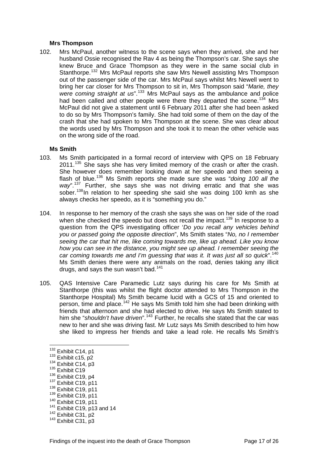#### **Mrs Thompson**

102. Mrs McPaul, another witness to the scene says when they arrived, she and her husband Ossie recognised the Rav 4 as being the Thompson's car. She says she knew Bruce and Grace Thompson as they were in the same social club in Stanthorpe.[132](#page-17-0) Mrs McPaul reports she saw Mrs Newell assisting Mrs Thompson out of the passenger side of the car. Mrs McPaul says whilst Mrs Newell went to bring her car closer for Mrs Thompson to sit in, Mrs Thompson said "*Marie, they were coming straight at us*".[133](#page-17-1) Mrs McPaul says as the ambulance and police had been called and other people were there they departed the scene.<sup>[134](#page-17-2)</sup> Mrs McPaul did not give a statement until 6 February 2011 after she had been asked to do so by Mrs Thompson's family. She had told some of them on the day of the crash that she had spoken to Mrs Thompson at the scene. She was clear about the words used by Mrs Thompson and she took it to mean the other vehicle was on the wrong side of the road.

#### **Ms Smith**

- 103. Ms Smith participated in a formal record of interview with QPS on 18 February 2011.<sup>[135](#page-17-3)</sup> She says she has very limited memory of the crash or after the crash. She however does remember looking down at her speedo and then seeing a flash of blue.[136](#page-17-4) Ms Smith reports she made sure she was "*doing 100 all the way*".[137](#page-17-5) Further, she says she was not driving erratic and that she was sober.<sup>[138](#page-17-6)</sup>In relation to her speeding she said she was doing 100 kmh as she always checks her speedo, as it is "something you do."
- 104. In response to her memory of the crash she says she was on her side of the road when she checked the speedo but does not recall the impact.<sup>[139](#page-17-7)</sup> In response to a question from the QPS investigating officer '*Do you recall any vehicles behind you or passed going the opposite direction*", Ms Smith states "*No, no I remember seeing the car that hit me, like coming towards me, like up ahead. Like you know how you can see in the distance, you might see up ahead. I remember seeing the car coming towards me and I'm guessing that was it. It was just all so quick*".[140](#page-17-8) Ms Smith denies there were any animals on the road, denies taking any illicit drugs, and says the sun wasn't bad.[141](#page-17-9)
- 105. QAS Intensive Care Paramedic Lutz says during his care for Ms Smith at Stanthorpe (this was whilst the flight doctor attended to Mrs Thompson in the Stanthorpe Hospital) Ms Smith became lucid with a GCS of 15 and oriented to person, time and place.<sup>[142](#page-17-10)</sup> He says Ms Smith told him she had been drinking with friends that afternoon and she had elected to drive. He says Ms Smith stated to him she "*shouldn't have driven*".<sup>[143](#page-17-11)</sup> Further, he recalls she stated that the car was new to her and she was driving fast. Mr Lutz says Ms Smith described to him how she liked to impress her friends and take a lead role. He recalls Ms Smith's

- 
- 
- <span id="page-17-7"></span>
- <span id="page-17-9"></span><span id="page-17-8"></span>
- <span id="page-17-6"></span><span id="page-17-5"></span><span id="page-17-4"></span><span id="page-17-3"></span><sup>137</sup> Exhibit C19, p11<br><sup>138</sup> Exhibit C19, p11<br><sup>149</sup> Exhibit C19, p11<br><sup>141</sup> Exhibit C19, p13 and 14<br><sup>142</sup> Exhibit C31, p2<br><sup>143</sup> Exhibit C31, p3
- <span id="page-17-10"></span>

<sup>&</sup>lt;sup>132</sup> Exhibit C14, p1

<span id="page-17-2"></span><span id="page-17-1"></span><span id="page-17-0"></span> $^{133}_{134}$  Exhibit C15, p2<br> $^{134}_{135}$  Exhibit C14, p3<br> $^{135}_{136}$  Exhibit C19

<span id="page-17-11"></span>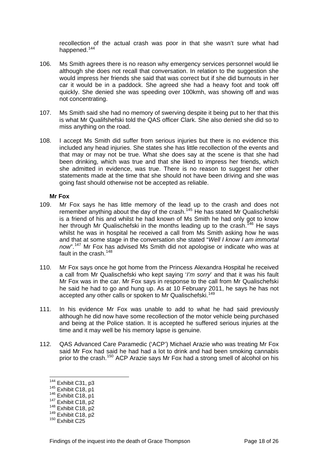recollection of the actual crash was poor in that she wasn't sure what had happened.<sup>[144](#page-18-0)</sup>

- 106. Ms Smith agrees there is no reason why emergency services personnel would lie although she does not recall that conversation. In relation to the suggestion she would impress her friends she said that was correct but if she did burnouts in her car it would be in a paddock. She agreed she had a heavy foot and took off quickly. She denied she was speeding over 100kmh, was showing off and was not concentrating.
- 107. Ms Smith said she had no memory of swerving despite it being put to her that this is what Mr Qualifshefski told the QAS officer Clark. She also denied she did so to miss anything on the road.
- 108. I accept Ms Smith did suffer from serious injuries but there is no evidence this included any head injuries. She states she has little recollection of the events and that may or may not be true. What she does say at the scene is that she had been drinking, which was true and that she liked to impress her friends, which she admitted in evidence, was true. There is no reason to suggest her other statements made at the time that she should not have been driving and she was going fast should otherwise not be accepted as reliable.

#### **Mr Fox**

- 109. Mr Fox says he has little memory of the lead up to the crash and does not remember anything about the day of the crash.<sup>[145](#page-18-1)</sup> He has stated Mr Qualischefski is a friend of his and whilst he had known of Ms Smith he had only got to know her through Mr Qualischefski in the months leading up to the crash.<sup>[146](#page-18-2)</sup> He says whilst he was in hospital he received a call from Ms Smith asking how he was and that at some stage in the conversation she stated "*Well I know I am immortal now*".[147](#page-18-3) Mr Fox has advised Ms Smith did not apologise or indicate who was at fault in the crash.<sup>[148](#page-18-4)</sup>
- 110. Mr Fox says once he got home from the Princess Alexandra Hospital he received a call from Mr Qualischefski who kept saying '*I'm sorry*' and that it was his fault Mr Fox was in the car. Mr Fox says in response to the call from Mr Qualischefski he said he had to go and hung up. As at 10 February 2011, he says he has not accepted any other calls or spoken to Mr Qualischefski.<sup>[149](#page-18-5)</sup>
- 111. In his evidence Mr Fox was unable to add to what he had said previously although he did now have some recollection of the motor vehicle being purchased and being at the Police station. It is accepted he suffered serious injuries at the time and it may well be his memory lapse is genuine.
- 112. QAS Advanced Care Paramedic ('ACP') Michael Arazie who was treating Mr Fox said Mr Fox had said he had had a lot to drink and had been smoking cannabis prior to the crash.[150](#page-18-6) ACP Arazie says Mr Fox had a strong smell of alcohol on his

<span id="page-18-0"></span><sup>&</sup>lt;sup>144</sup> Exhibit C31, p3

<span id="page-18-3"></span>

<span id="page-18-4"></span>

<span id="page-18-2"></span><span id="page-18-1"></span><sup>&</sup>lt;sup>145</sup> Exhibit C18, p1<br><sup>146</sup> Exhibit C18, p1<br><sup>147</sup> Exhibit C18, p2<br><sup>149</sup> Exhibit C18, p2<br><sup>149</sup> Exhibit C18, p2<br><sup>150</sup> Exhibit C25

<span id="page-18-6"></span><span id="page-18-5"></span>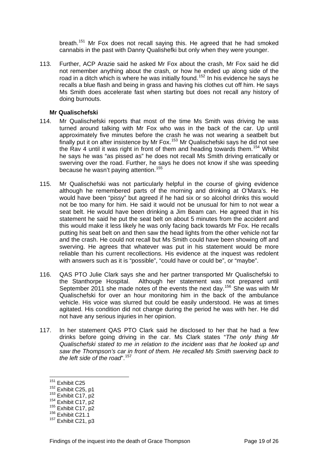breath.<sup>[151](#page-19-0)</sup> Mr Fox does not recall saying this. He agreed that he had smoked cannabis in the past with Danny Qualishefki but only when they were younger.

113. Further, ACP Arazie said he asked Mr Fox about the crash, Mr Fox said he did not remember anything about the crash, or how he ended up along side of the road in a ditch which is where he was initially found.<sup>[152](#page-19-1)</sup> In his evidence he says he recalls a blue flash and being in grass and having his clothes cut off him. He says Ms Smith does accelerate fast when starting but does not recall any history of doing burnouts.

#### **Mr Qualischefski**

- 114. Mr Qualischefski reports that most of the time Ms Smith was driving he was turned around talking with Mr Fox who was in the back of the car. Up until approximately five minutes before the crash he was not wearing a seatbelt but finally put it on after insistence by Mr Fox.<sup>[153](#page-19-2)</sup> Mr Qualischefski says he did not see the Rav 4 until it was right in front of them and heading towards them.<sup>[154](#page-19-3)</sup> Whilst he says he was "as pissed as" he does not recall Ms Smith driving erratically or swerving over the road. Further, he says he does not know if she was speeding because he wasn't paying attention.<sup>[155](#page-19-4)</sup>
- 115. Mr Qualischefski was not particularly helpful in the course of giving evidence although he remembered parts of the morning and drinking at O'Mara's. He would have been "pissy" but agreed if he had six or so alcohol drinks this would not be too many for him. He said it would not be unusual for him to not wear a seat belt. He would have been drinking a Jim Beam can. He agreed that in his statement he said he put the seat belt on about 5 minutes from the accident and this would make it less likely he was only facing back towards Mr Fox. He recalls putting his seat belt on and then saw the head lights from the other vehicle not far and the crash. He could not recall but Ms Smith could have been showing off and swerving. He agrees that whatever was put in his statement would be more reliable than his current recollections. His evidence at the inquest was redolent with answers such as it is "possible", "could have or could be", or "maybe".
- 116. QAS PTO Julie Clark says she and her partner transported Mr Qualischefski to the Stanthorpe Hospital. Although her statement was not prepared until September 2011 she made notes of the events the next day.<sup>[156](#page-19-5)</sup> She was with Mr Qualischefski for over an hour monitoring him in the back of the ambulance vehicle. His voice was slurred but could be easily understood. He was at times agitated. His condition did not change during the period he was with her. He did not have any serious injuries in her opinion.
- 117. In her statement QAS PTO Clark said he disclosed to her that he had a few drinks before going driving in the car. Ms Clark states "*The only thing Mr Qualischefski stated to me in relation to the incident was that he looked up and saw the Thompson's car in front of them. He recalled Ms Smith swerving back to the left side of the road*".<sup>[157](#page-19-6)</sup>

<sup>151</sup> 

<span id="page-19-0"></span> $^{151}$  Exhibit C25<br> $^{152}$  Exhibit C25, p1

<span id="page-19-3"></span>

<span id="page-19-2"></span><span id="page-19-1"></span><sup>&</sup>lt;sup>153</sup> Exhibit C17, p2<br><sup>154</sup> Exhibit C17, p2<br><sup>155</sup> Exhibit C17, p2<br><sup>156</sup> Exhibit C21.1

<span id="page-19-4"></span>

<span id="page-19-6"></span><span id="page-19-5"></span><sup>&</sup>lt;sup>157</sup> Exhibit C21, p3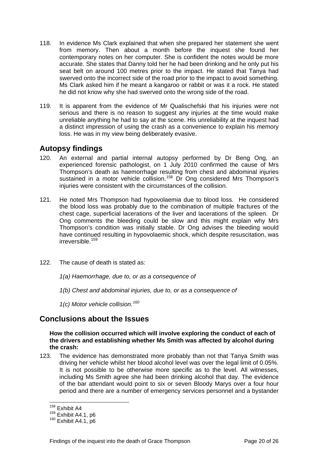- 118. In evidence Ms Clark explained that when she prepared her statement she went from memory. Then about a month before the inquest she found her contemporary notes on her computer. She is confident the notes would be more accurate. She states that Danny told her he had been drinking and he only put his seat belt on around 100 metres prior to the impact. He stated that Tanya had swerved onto the incorrect side of the road prior to the impact to avoid something. Ms Clark asked him if he meant a kangaroo or rabbit or was it a rock. He stated he did not know why she had swerved onto the wrong side of the road.
- 119. It is apparent from the evidence of Mr Qualischefski that his injuries were not serious and there is no reason to suggest any injuries at the time would make unreliable anything he had to say at the scene. His unreliability at the inquest had a distinct impression of using the crash as a convenience to explain his memory loss. He was in my view being deliberately evasive.

### **Autopsy findings**

- 120. An external and partial internal autopsy performed by Dr Beng Ong, an experienced forensic pathologist, on 1 July 2010 confirmed the cause of Mrs Thompson's death as haemorrhage resulting from chest and abdominal injuries sustained in a motor vehicle collision.<sup>[158](#page-20-0)</sup> Dr Ong considered Mrs Thompson's injuries were consistent with the circumstances of the collision.
- 121. He noted Mrs Thompson had hypovolaemia due to blood loss. He considered the blood loss was probably due to the combination of multiple fractures of the chest cage, superficial lacerations of the liver and lacerations of the spleen. Dr Ong comments the bleeding could be slow and this might explain why Mrs Thompson's condition was initially stable. Dr Ong advises the bleeding would have continued resulting in hypovolaemic shock, which despite resuscitation, was irreversible.[159](#page-20-1)
- 122. The cause of death is stated as:
	- *1(a) Haemorrhage, due to, or as a consequence of*
	- *1(b) Chest and abdominal injuries, due to, or as a consequence of*
	- *1(c) Motor vehicle collision.[160](#page-20-2)*

### **Conclusions about the Issues**

**How the collision occurred which will involve exploring the conduct of each of the drivers and establishing whether Ms Smith was affected by alcohol during the crash:** 

123. The evidence has demonstrated more probably than not that Tanya Smith was driving her vehicle whilst her blood alcohol level was over the legal limit of 0.05%. It is not possible to be otherwise more specific as to the level. All witnesses, including Ms Smith agree she had been drinking alcohol that day. The evidence of the bar attendant would point to six or seven Bloody Marys over a four hour period and there are a number of emergency services personnel and a bystander

<sup>&</sup>lt;sup>158</sup> Exhibit A4

<span id="page-20-1"></span><span id="page-20-0"></span> $^{159}_{160}$  Exhibit A4.1, p6<br> $^{160}$  Exhibit A4.1, p6

<span id="page-20-2"></span>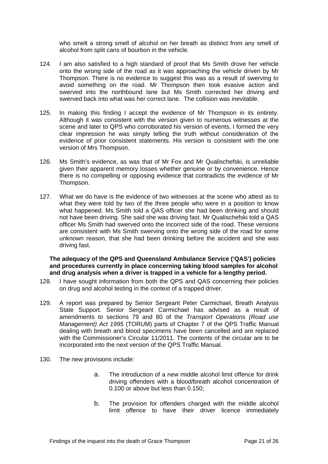who smelt a strong smell of alcohol on her breath as distinct from any smell of alcohol from split cans of bourbon in the vehicle.

- 124. I am also satisfied to a high standard of proof that Ms Smith drove her vehicle onto the wrong side of the road as it was approaching the vehicle driven by Mr Thompson. There is no evidence to suggest this was as a result of swerving to avoid something on the road. Mr Thompson then took evasive action and swerved into the northbound lane but Ms Smith corrected her driving and swerved back into what was her correct lane. The collision was inevitable.
- 125. In making this finding I accept the evidence of Mr Thompson in its entirety. Although it was consistent with the version given to numerous witnesses at the scene and later to QPS who corroborated his version of events, I formed the very clear impression he was simply telling the truth without consideration of the evidence of prior consistent statements. His version is consistent with the one version of Mrs Thompson.
- 126. Ms Smith's evidence, as was that of Mr Fox and Mr Qualischefski, is unreliable given their apparent memory losses whether genuine or by convenience. Hence there is no compelling or opposing evidence that contradicts the evidence of Mr Thompson.
- 127. What we do have is the evidence of two witnesses at the scene who attest as to what they were told by two of the three people who were in a position to know what happened. Ms Smith told a QAS officer she had been drinking and should not have been driving. She said she was driving fast. Mr Qualischefski told a QAS officer Ms Smith had swerved onto the incorrect side of the road. These versions are consistent with Ms Smith swerving onto the wrong side of the road for some unknown reason, that she had been drinking before the accident and she was driving fast.

#### **The adequacy of the QPS and Queensland Ambulance Service ('QAS') policies and procedures currently in place concerning taking blood samples for alcohol and drug analysis when a driver is trapped in a vehicle for a lengthy period.**

- 128. I have sought information from both the QPS and QAS concerning their policies on drug and alcohol testing in the context of a trapped driver.
- 129. A report was prepared by Senior Sergeant Peter Carmichael, Breath Analysis State Support. Senior Sergeant Carmichael has advised as a result of amendments to sections 79 and 80 of the *Transport Operations (Road use Management) Act 1995* (TORUM) parts of Chapter 7 of the QPS Traffic Manual dealing with breath and blood specimens have been cancelled and are replaced with the Commissioner's Circular 11/2011. The contents of the circular are to be incorporated into the next version of the QPS Traffic Manual.
- 130. The new provisions include:
	- a. The introduction of a new middle alcohol limit offence for drink driving offenders with a blood/breath alcohol concentration of 0.100 or above but less than 0.150;
	- b. The provision for offenders charged with the middle alcohol limit offence to have their driver licence immediately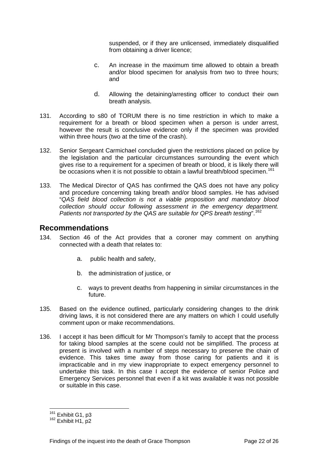suspended, or if they are unlicensed, immediately disqualified from obtaining a driver licence;

- c. An increase in the maximum time allowed to obtain a breath and/or blood specimen for analysis from two to three hours; and
- d. Allowing the detaining/arresting officer to conduct their own breath analysis.
- 131. According to s80 of TORUM there is no time restriction in which to make a requirement for a breath or blood specimen when a person is under arrest, however the result is conclusive evidence only if the specimen was provided within three hours (two at the time of the crash).
- 132. Senior Sergeant Carmichael concluded given the restrictions placed on police by the legislation and the particular circumstances surrounding the event which gives rise to a requirement for a specimen of breath or blood, it is likely there will be occasions when it is not possible to obtain a lawful breath/blood specimen.<sup>[161](#page-22-0)</sup>
- 133. The Medical Director of QAS has confirmed the QAS does not have any policy and procedure concerning taking breath and/or blood samples. He has advised "*QAS field blood collection is not a viable proposition and mandatory blood collection should occur following assessment in the emergency department. Patients not transported by the QAS are suitable for QPS breath testing*".[162](#page-22-1)

### **Recommendations**

- 134. Section 46 of the Act provides that a coroner may comment on anything connected with a death that relates to:
	- a. public health and safety,
	- b. the administration of justice, or
	- c. ways to prevent deaths from happening in similar circumstances in the future.
- 135. Based on the evidence outlined, particularly considering changes to the drink driving laws, it is not considered there are any matters on which I could usefully comment upon or make recommendations.
- 136. I accept it has been difficult for Mr Thompson's family to accept that the process for taking blood samples at the scene could not be simplified. The process at present is involved with a number of steps necessary to preserve the chain of evidence. This takes time away from those caring for patients and it is impracticable and in my view inappropriate to expect emergency personnel to undertake this task. In this case I accept the evidence of senior Police and Emergency Services personnel that even if a kit was available it was not possible or suitable in this case.

<span id="page-22-0"></span><sup>&</sup>lt;sup>161</sup> Exhibit G1, p3

<span id="page-22-1"></span> $162$  Exhibit H1, p2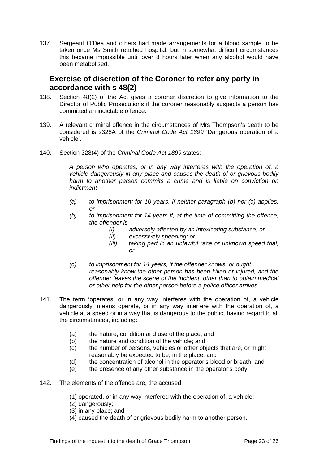137. Sergeant O'Dea and others had made arrangements for a blood sample to be taken once Ms Smith reached hospital, but in somewhat difficult circumstances this became impossible until over 8 hours later when any alcohol would have been metabolised.

### **Exercise of discretion of the Coroner to refer any party in accordance with s 48(2)**

- 138. Section 48(2) of the Act gives a coroner discretion to give information to the Director of Public Prosecutions if the coroner reasonably suspects a person has committed an indictable offence.
- 139. A relevant criminal offence in the circumstances of Mrs Thompson's death to be considered is s328A of the *Criminal Code Act 1899* 'Dangerous operation of a vehicle'.
- 140. Section 328(4) of the *Criminal Code Act 1899* states:

*A person who operates, or in any way interferes with the operation of, a vehicle dangerously in any place and causes the death of or grievous bodily harm to another person commits a crime and is liable on conviction on indictment –* 

- *(a) to imprisonment for 10 years, if neither paragraph (b) nor (c) applies; or*
- *(b) to imprisonment for 14 years if, at the time of committing the offence, the offender is –* 
	- *(i) adversely affected by an intoxicating substance; or*
	- *(ii) excessively speeding; or*
	- *(iii) taking part in an unlawful race or unknown speed trial; or*
- *(c) to imprisonment for 14 years, if the offender knows, or ought reasonably know the other person has been killed or injured, and the offender leaves the scene of the incident, other than to obtain medical or other help for the other person before a police officer arrives.*
- 141. The term 'operates, or in any way interferes with the operation of, a vehicle dangerously' means operate, or in any way interfere with the operation of, a vehicle at a speed or in a way that is dangerous to the public, having regard to all the circumstances, including:
	- (a) the nature, condition and use of the place; and
	- (b) the nature and condition of the vehicle; and
	- (c) the number of persons, vehicles or other objects that are, or might reasonably be expected to be, in the place; and
	- (d) the concentration of alcohol in the operator's blood or breath; and
	- (e) the presence of any other substance in the operator's body.
- 142. The elements of the offence are, the accused:
	- (1) operated, or in any way interfered with the operation of, a vehicle;
	- (2) dangerously;
	- (3) in any place; and
	- (4) caused the death of or grievous bodily harm to another person.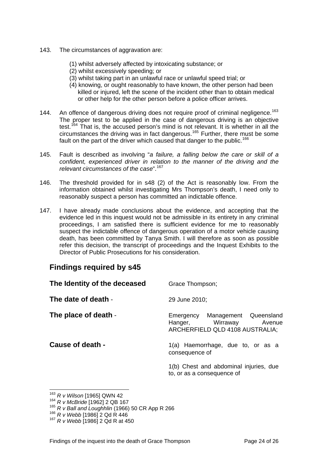- 143. The circumstances of aggravation are:
	- (1) whilst adversely affected by intoxicating substance; or
	- (2) whilst excessively speeding; or
	- (3) whilst taking part in an unlawful race or unlawful speed trial; or
	- (4) knowing, or ought reasonably to have known, the other person had been killed or injured, left the scene of the incident other than to obtain medical or other help for the other person before a police officer arrives.
- 144. An offence of dangerous driving does not require proof of criminal negligence.<sup>[163](#page-24-0)</sup> The proper test to be applied in the case of dangerous driving is an objective test.<sup>[164](#page-24-1)</sup> That is, the accused person's mind is not relevant. It is whether in all the circumstances the driving was in fact dangerous.<sup>[165](#page-24-2)</sup> Further, there must be some fault on the part of the driver which caused that danger to the public.<sup>[166](#page-24-3)</sup>
- 145. Fault is described as involving "*a failure, a falling below the care or skill of a confident, experienced driver in relation to the manner of the driving and the relevant circumstances of the case*".[167](#page-24-4)
- 146. The threshold provided for in s48 (2) of the Act is reasonably low. From the information obtained whilst investigating Mrs Thompson's death, I need only to reasonably suspect a person has committed an indictable offence.
- 147. I have already made conclusions about the evidence, and accepting that the evidence led in this inquest would not be admissible in its entirety in any criminal proceedings, I am satisfied there is sufficient evidence for me to reasonably suspect the indictable offence of dangerous operation of a motor vehicle causing death, has been committed by Tanya Smith. I will therefore as soon as possible refer this decision, the transcript of proceedings and the Inquest Exhibits to the Director of Public Prosecutions for his consideration.

### **Findings required by s45**

| The Identity of the deceased | Grace Thompson;                                                                                  |
|------------------------------|--------------------------------------------------------------------------------------------------|
| The date of death -          | 29 June 2010;                                                                                    |
| The place of death -         | Emergency Management Queensland<br>Hanger, Wirraway<br>Avenue<br>ARCHERFIELD QLD 4108 AUSTRALIA; |
| Cause of death -             | 1(a) Haemorrhage, due to, or as a<br>consequence of                                              |
|                              | 1(b) Chest and abdominal injuries, due<br>to, or as a consequence of                             |

<sup>163</sup> *R v Wilson* [1965] QWN 42

<span id="page-24-1"></span><span id="page-24-0"></span><sup>164</sup> *R v McBride* [1962] 2 QB 167

<span id="page-24-2"></span><sup>165</sup> *R v Ball and Loughhlin* (1966) 50 CR App R 266 166 *R v Webb* [1986] 2 Qd R 446

<span id="page-24-4"></span><span id="page-24-3"></span><sup>167</sup> *R v Webb* [1986] 2 Qd R at 450